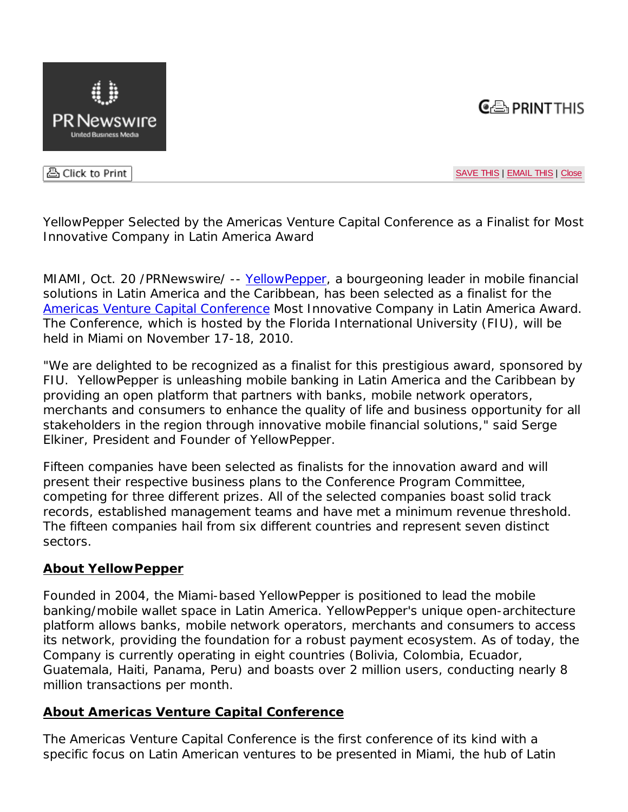



음 Click to Print

SAVE THIS | EMAIL THIS | Close

YellowPepper Selected by the Americas Venture Capital Conference as a Finalist for Most Innovative Company in Latin America Award

MIAMI, Oct. 20 /PRNewswire/ -- YellowPepper, a bourgeoning leader in mobile financial solutions in Latin America and the Caribbean, has been selected as a finalist for the Americas Venture Capital Conference Most Innovative Company in Latin America Award. The Conference, which is hosted by the Florida International University (FIU), will be held in Miami on November 17-18, 2010.

"We are delighted to be recognized as a finalist for this prestigious award, sponsored by FIU. YellowPepper is unleashing mobile banking in Latin America and the Caribbean by providing an open platform that partners with banks, mobile network operators, merchants and consumers to enhance the quality of life and business opportunity for all stakeholders in the region through innovative mobile financial solutions," said Serge Elkiner, President and Founder of YellowPepper.

Fifteen companies have been selected as finalists for the innovation award and will present their respective business plans to the Conference Program Committee, competing for three different prizes. All of the selected companies boast solid track records, established management teams and have met a minimum revenue threshold. The fifteen companies hail from six different countries and represent seven distinct sectors.

## **About YellowPepper**

Founded in 2004, the Miami-based YellowPepper is positioned to lead the mobile banking/mobile wallet space in Latin America. YellowPepper's unique open-architecture platform allows banks, mobile network operators, merchants and consumers to access its network, providing the foundation for a robust payment ecosystem. As of today, the Company is currently operating in eight countries (Bolivia, Colombia, Ecuador, Guatemala, Haiti, Panama, Peru) and boasts over 2 million users, conducting nearly 8 million transactions per month.

## **About Americas Venture Capital Conference**

The Americas Venture Capital Conference is the first conference of its kind with a specific focus on Latin American ventures to be presented in Miami, the hub of Latin